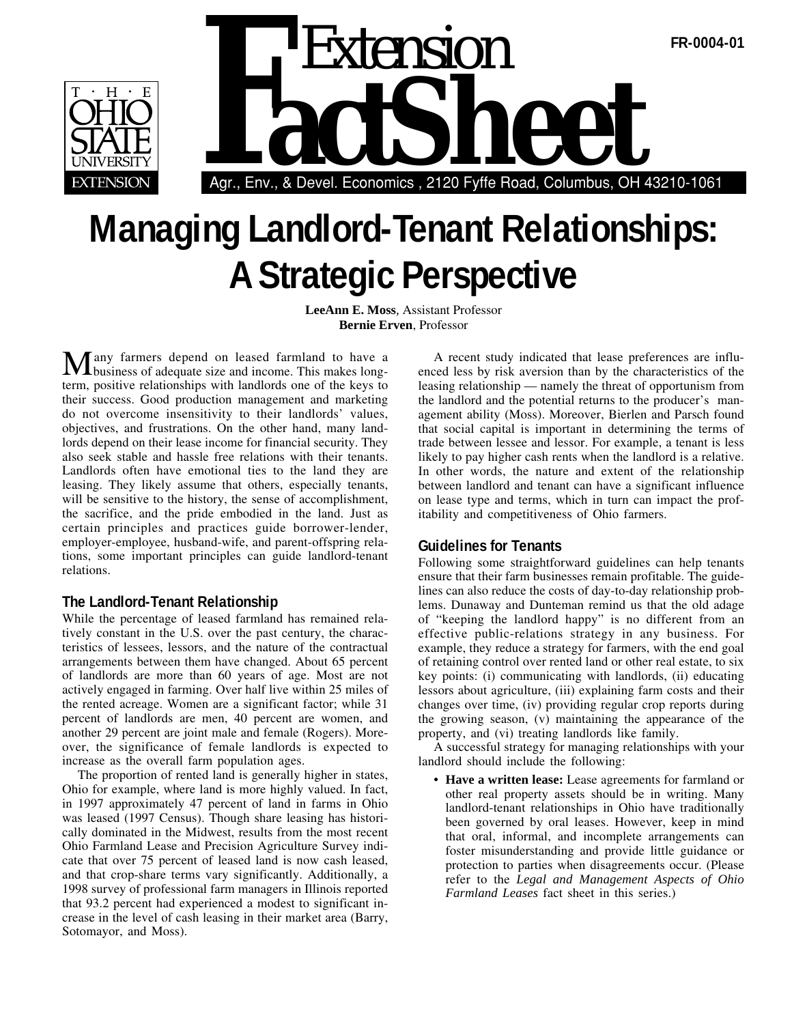



# **Managing Landlord-Tenant Relationships: A Strategic Perspective**

**LeeAnn E. Moss***,* Assistant Professor **Bernie Erven**, Professor

Many farmers depend on leased farmland to have a business of adequate size and income. This makes longterm, positive relationships with landlords one of the keys to their success. Good production management and marketing do not overcome insensitivity to their landlords' values, objectives, and frustrations. On the other hand, many landlords depend on their lease income for financial security. They also seek stable and hassle free relations with their tenants. Landlords often have emotional ties to the land they are leasing. They likely assume that others, especially tenants, will be sensitive to the history, the sense of accomplishment, the sacrifice, and the pride embodied in the land. Just as certain principles and practices guide borrower-lender, employer-employee, husband-wife, and parent-offspring relations, some important principles can guide landlord-tenant relations.

### **The Landlord-Tenant Relationship**

While the percentage of leased farmland has remained relatively constant in the U.S. over the past century, the characteristics of lessees, lessors, and the nature of the contractual arrangements between them have changed. About 65 percent of landlords are more than 60 years of age. Most are not actively engaged in farming. Over half live within 25 miles of the rented acreage. Women are a significant factor; while 31 percent of landlords are men, 40 percent are women, and another 29 percent are joint male and female (Rogers). Moreover, the significance of female landlords is expected to increase as the overall farm population ages.

The proportion of rented land is generally higher in states, Ohio for example, where land is more highly valued. In fact, in 1997 approximately 47 percent of land in farms in Ohio was leased (1997 Census). Though share leasing has historically dominated in the Midwest, results from the most recent Ohio Farmland Lease and Precision Agriculture Survey indicate that over 75 percent of leased land is now cash leased, and that crop-share terms vary significantly. Additionally, a 1998 survey of professional farm managers in Illinois reported that 93.2 percent had experienced a modest to significant increase in the level of cash leasing in their market area (Barry, Sotomayor, and Moss).

A recent study indicated that lease preferences are influenced less by risk aversion than by the characteristics of the leasing relationship — namely the threat of opportunism from the landlord and the potential returns to the producer's management ability (Moss). Moreover, Bierlen and Parsch found that social capital is important in determining the terms of trade between lessee and lessor. For example, a tenant is less likely to pay higher cash rents when the landlord is a relative. In other words, the nature and extent of the relationship between landlord and tenant can have a significant influence on lease type and terms, which in turn can impact the profitability and competitiveness of Ohio farmers.

### **Guidelines for Tenants**

Following some straightforward guidelines can help tenants ensure that their farm businesses remain profitable. The guidelines can also reduce the costs of day-to-day relationship problems. Dunaway and Dunteman remind us that the old adage of "keeping the landlord happy" is no different from an effective public-relations strategy in any business. For example, they reduce a strategy for farmers, with the end goal of retaining control over rented land or other real estate, to six key points: (i) communicating with landlords, (ii) educating lessors about agriculture, (iii) explaining farm costs and their changes over time, (iv) providing regular crop reports during the growing season, (v) maintaining the appearance of the property, and (vi) treating landlords like family.

A successful strategy for managing relationships with your landlord should include the following:

• **Have a written lease:** Lease agreements for farmland or other real property assets should be in writing. Many landlord-tenant relationships in Ohio have traditionally been governed by oral leases. However, keep in mind that oral, informal, and incomplete arrangements can foster misunderstanding and provide little guidance or protection to parties when disagreements occur. (Please refer to the *Legal and Management Aspects of Ohio Farmland Leases* fact sheet in this series.)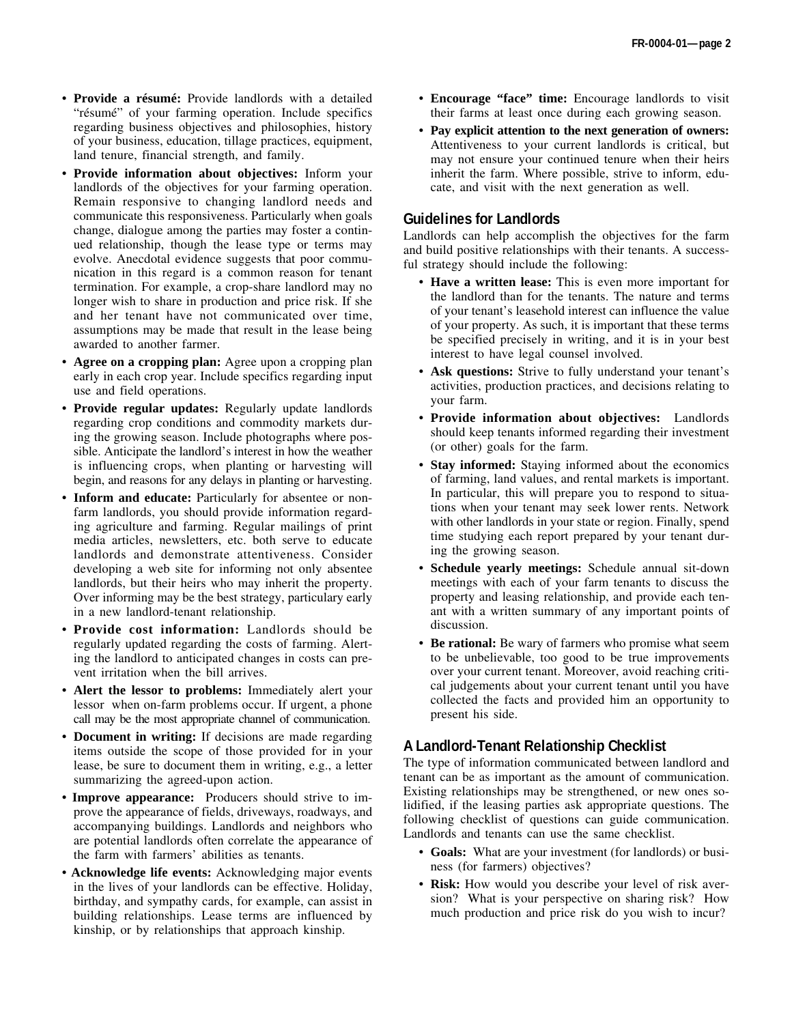- **Provide a résumé:** Provide landlords with a detailed "résumé" of your farming operation. Include specifics regarding business objectives and philosophies, history of your business, education, tillage practices, equipment, land tenure, financial strength, and family.
- **Provide information about objectives:** Inform your landlords of the objectives for your farming operation. Remain responsive to changing landlord needs and communicate this responsiveness. Particularly when goals change, dialogue among the parties may foster a continued relationship, though the lease type or terms may evolve. Anecdotal evidence suggests that poor communication in this regard is a common reason for tenant termination. For example, a crop-share landlord may no longer wish to share in production and price risk. If she and her tenant have not communicated over time, assumptions may be made that result in the lease being awarded to another farmer.
- **Agree on a cropping plan:** Agree upon a cropping plan early in each crop year. Include specifics regarding input use and field operations.
- **Provide regular updates:** Regularly update landlords regarding crop conditions and commodity markets during the growing season. Include photographs where possible. Anticipate the landlord's interest in how the weather is influencing crops, when planting or harvesting will begin, and reasons for any delays in planting or harvesting.
- **Inform and educate:** Particularly for absentee or nonfarm landlords, you should provide information regarding agriculture and farming. Regular mailings of print media articles, newsletters, etc. both serve to educate landlords and demonstrate attentiveness. Consider developing a web site for informing not only absentee landlords, but their heirs who may inherit the property. Over informing may be the best strategy, particulary early in a new landlord-tenant relationship.
- **Provide cost information:** Landlords should be regularly updated regarding the costs of farming. Alerting the landlord to anticipated changes in costs can prevent irritation when the bill arrives.
- **Alert the lessor to problems:** Immediately alert your lessor when on-farm problems occur. If urgent, a phone call may be the most appropriate channel of communication.
- **Document in writing:** If decisions are made regarding items outside the scope of those provided for in your lease, be sure to document them in writing, e.g., a letter summarizing the agreed-upon action.
- • **Improve appearance:** Producers should strive to improve the appearance of fields, driveways, roadways, and accompanying buildings. Landlords and neighbors who are potential landlords often correlate the appearance of the farm with farmers' abilities as tenants.
- • **Acknowledge life events:** Acknowledging major events in the lives of your landlords can be effective. Holiday, birthday, and sympathy cards, for example, can assist in building relationships. Lease terms are influenced by kinship, or by relationships that approach kinship.
- **Encourage "face" time:** Encourage landlords to visit their farms at least once during each growing season.
- **Pay explicit attention to the next generation of owners:** Attentiveness to your current landlords is critical, but may not ensure your continued tenure when their heirs inherit the farm. Where possible, strive to inform, educate, and visit with the next generation as well.

# **Guidelines for Landlords**

Landlords can help accomplish the objectives for the farm and build positive relationships with their tenants. A successful strategy should include the following:

- **Have a written lease:** This is even more important for the landlord than for the tenants. The nature and terms of your tenant's leasehold interest can influence the value of your property. As such, it is important that these terms be specified precisely in writing, and it is in your best interest to have legal counsel involved.
- **Ask questions:** Strive to fully understand your tenant's activities, production practices, and decisions relating to your farm.
- **Provide information about objectives:** Landlords should keep tenants informed regarding their investment (or other) goals for the farm.
- **Stay informed:** Staying informed about the economics of farming, land values, and rental markets is important. In particular, this will prepare you to respond to situations when your tenant may seek lower rents. Network with other landlords in your state or region. Finally, spend time studying each report prepared by your tenant during the growing season.
- **Schedule yearly meetings:** Schedule annual sit-down meetings with each of your farm tenants to discuss the property and leasing relationship, and provide each tenant with a written summary of any important points of discussion.
- **Be rational:** Be wary of farmers who promise what seem to be unbelievable, too good to be true improvements over your current tenant. Moreover, avoid reaching critical judgements about your current tenant until you have collected the facts and provided him an opportunity to present his side.

# **A Landlord-Tenant Relationship Checklist**

The type of information communicated between landlord and tenant can be as important as the amount of communication. Existing relationships may be strengthened, or new ones solidified, if the leasing parties ask appropriate questions. The following checklist of questions can guide communication. Landlords and tenants can use the same checklist.

- **Goals:** What are your investment (for landlords) or business (for farmers) objectives?
- **Risk:** How would you describe your level of risk aversion? What is your perspective on sharing risk? How much production and price risk do you wish to incur?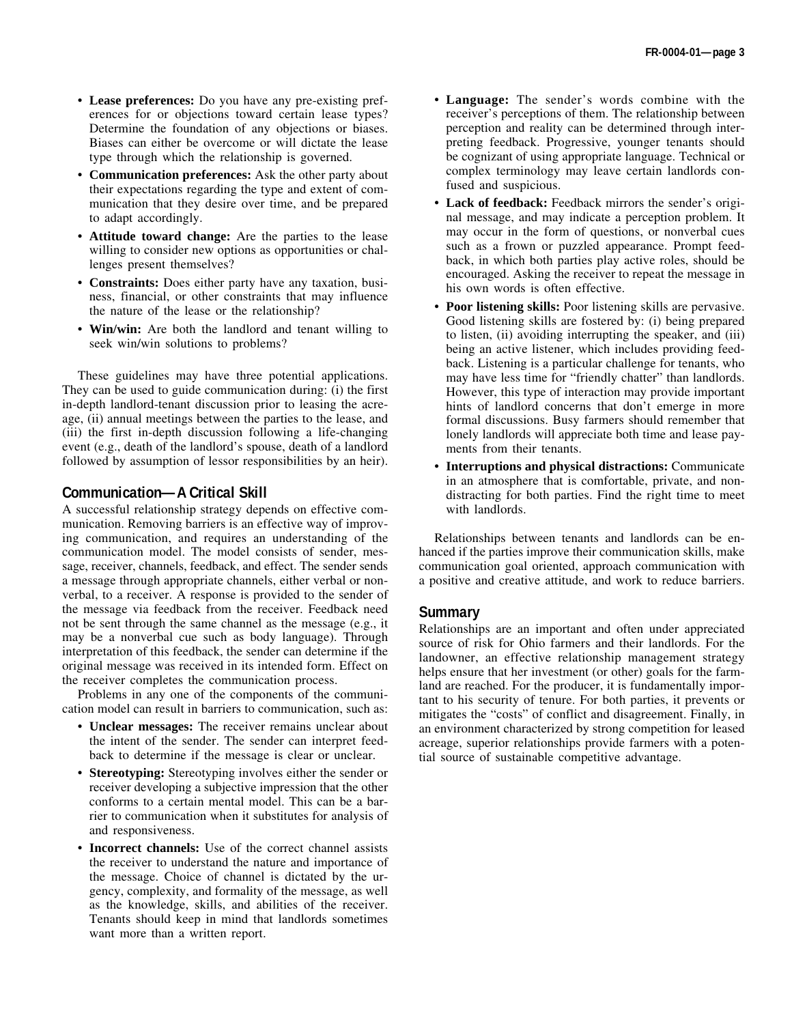- **Lease preferences:** Do you have any pre-existing preferences for or objections toward certain lease types? Determine the foundation of any objections or biases. Biases can either be overcome or will dictate the lease type through which the relationship is governed.
- **Communication preferences:** Ask the other party about their expectations regarding the type and extent of communication that they desire over time, and be prepared to adapt accordingly.
- **Attitude toward change:** Are the parties to the lease willing to consider new options as opportunities or challenges present themselves?
- **Constraints:** Does either party have any taxation, business, financial, or other constraints that may influence the nature of the lease or the relationship?
- **Win/win:** Are both the landlord and tenant willing to seek win/win solutions to problems?

These guidelines may have three potential applications. They can be used to guide communication during: (i) the first in-depth landlord-tenant discussion prior to leasing the acreage, (ii) annual meetings between the parties to the lease, and (iii) the first in-depth discussion following a life-changing event (e.g., death of the landlord's spouse, death of a landlord followed by assumption of lessor responsibilities by an heir).

# **Communication—A Critical Skill**

A successful relationship strategy depends on effective communication. Removing barriers is an effective way of improving communication, and requires an understanding of the communication model. The model consists of sender, message, receiver, channels, feedback, and effect. The sender sends a message through appropriate channels, either verbal or nonverbal, to a receiver. A response is provided to the sender of the message via feedback from the receiver. Feedback need not be sent through the same channel as the message (e.g., it may be a nonverbal cue such as body language). Through interpretation of this feedback, the sender can determine if the original message was received in its intended form. Effect on the receiver completes the communication process.

Problems in any one of the components of the communication model can result in barriers to communication, such as:

- **Unclear messages:** The receiver remains unclear about the intent of the sender. The sender can interpret feedback to determine if the message is clear or unclear.
- **Stereotyping:** Stereotyping involves either the sender or receiver developing a subjective impression that the other conforms to a certain mental model. This can be a barrier to communication when it substitutes for analysis of and responsiveness.
- **Incorrect channels:** Use of the correct channel assists the receiver to understand the nature and importance of the message. Choice of channel is dictated by the urgency, complexity, and formality of the message, as well as the knowledge, skills, and abilities of the receiver. Tenants should keep in mind that landlords sometimes want more than a written report.
- **Language:** The sender's words combine with the receiver's perceptions of them. The relationship between perception and reality can be determined through interpreting feedback. Progressive, younger tenants should be cognizant of using appropriate language. Technical or complex terminology may leave certain landlords confused and suspicious.
- **Lack of feedback:** Feedback mirrors the sender's original message, and may indicate a perception problem. It may occur in the form of questions, or nonverbal cues such as a frown or puzzled appearance. Prompt feedback, in which both parties play active roles, should be encouraged. Asking the receiver to repeat the message in his own words is often effective.
- **Poor listening skills:** Poor listening skills are pervasive. Good listening skills are fostered by: (i) being prepared to listen, (ii) avoiding interrupting the speaker, and (iii) being an active listener, which includes providing feedback. Listening is a particular challenge for tenants, who may have less time for "friendly chatter" than landlords. However, this type of interaction may provide important hints of landlord concerns that don't emerge in more formal discussions. Busy farmers should remember that lonely landlords will appreciate both time and lease payments from their tenants.
- **Interruptions and physical distractions:** Communicate in an atmosphere that is comfortable, private, and nondistracting for both parties. Find the right time to meet with landlords.

Relationships between tenants and landlords can be enhanced if the parties improve their communication skills, make communication goal oriented, approach communication with a positive and creative attitude, and work to reduce barriers.

#### **Summary**

Relationships are an important and often under appreciated source of risk for Ohio farmers and their landlords. For the landowner, an effective relationship management strategy helps ensure that her investment (or other) goals for the farmland are reached. For the producer, it is fundamentally important to his security of tenure. For both parties, it prevents or mitigates the "costs" of conflict and disagreement. Finally, in an environment characterized by strong competition for leased acreage, superior relationships provide farmers with a potential source of sustainable competitive advantage.